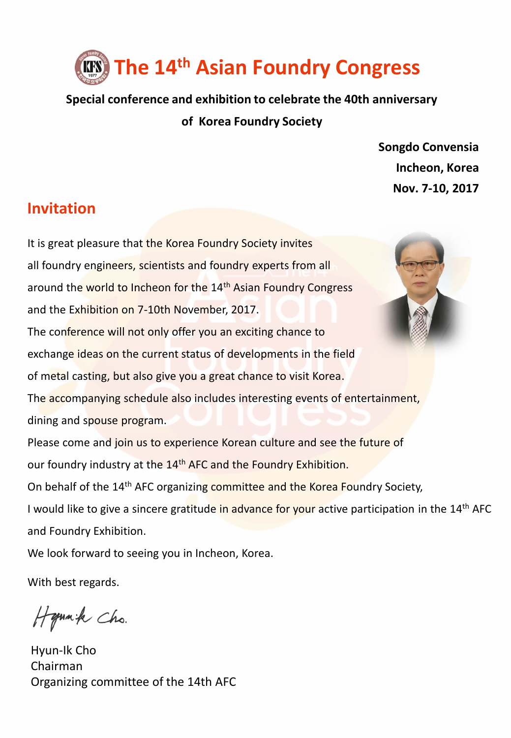

**Special conference and exhibition to celebrate the 40th anniversary of Korea Foundry Society**

> **Songdo Convensia Incheon, Korea Nov. 7-10, 2017**

# **Invitation**

It is great pleasure that the Korea Foundry Society invites all foundry engineers, scientists and foundry experts from all around the world to Incheon for the 14<sup>th</sup> Asian Foundry Congress and the Exhibition on 7-10th November, 2017. The conference will not only offer you an exciting chance to exchange ideas on the current status of developments in the field of metal casting, but also give you a great chance to visit Korea. The accompanying schedule also includes interesting events of entertainment, dining and spouse program. Please come and join us to experience Korean culture and see the future of our foundry industry at the 14<sup>th</sup> AFC and the Foundry Exhibition. On behalf of the 14<sup>th</sup> AFC organizing committee and the Korea Foundry Society, I would like to give a sincere gratitude in advance for your active participation in the 14<sup>th</sup> AFC and Foundry Exhibition. We look forward to seeing you in Incheon, Korea.

With best regards.

Hymnik Cho.

Hyun-Ik Cho Chairman Organizing committee of the 14th AFC

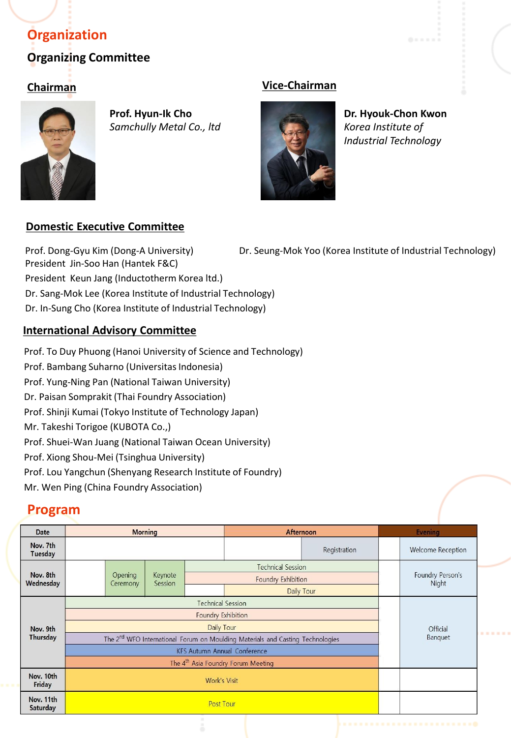# **Organizing Committee Organization**



**Prof. Hyun-Ik Cho** *Samchully Metal Co., ltd*

# **Chairman Vice-Chairman**



**Dr. Hyouk-Chon Kwon** *Korea Institute of Industrial Technology*

# **Domestic Executive Committee**

Prof. Dong-Gyu Kim (Dong-A University) President Jin-Soo Han (Hantek F&C) Dr. Seung-Mok Yoo (Korea Institute of Industrial Technology) President Keun Jang (Inductotherm Korea ltd.) Dr. Sang-Mok Lee (Korea Institute of Industrial Technology) Dr. In-Sung Cho (Korea Institute of Industrial Technology)

# **International Advisory Committee**

Prof. To Duy Phuong (Hanoi University of Science and Technology) Prof. Bambang Suharno (Universitas Indonesia) Prof. Yung-Ning Pan (National Taiwan University) Dr. Paisan Somprakit (Thai Foundry Association) Prof. Shinji Kumai (Tokyo Institute of Technology Japan) Mr. Takeshi Torigoe (KUBOTA Co.,) Prof. Shuei-Wan Juang (National Taiwan Ocean University) Prof. Xiong Shou-Mei (Tsinghua University) Prof. Lou Yangchun (Shenyang Research Institute of Foundry) Mr. Wen Ping (China Foundry Association)

# **Program**

| Date                  | <b>Morning</b>                                                                             |         |                    |                    | Afternoon                |              | <b>Evening</b>            |                          |
|-----------------------|--------------------------------------------------------------------------------------------|---------|--------------------|--------------------|--------------------------|--------------|---------------------------|--------------------------|
| Nov. 7th<br>Tuesday   |                                                                                            |         |                    |                    |                          | Registration |                           | <b>Welcome Reception</b> |
| Nov. 8th<br>Wednesday | Ceremony                                                                                   | Opening | Keynote<br>Session |                    | <b>Technical Session</b> |              |                           |                          |
|                       |                                                                                            |         |                    | Foundry Exhibition |                          |              | Foundry Person's<br>Night |                          |
|                       |                                                                                            |         |                    |                    |                          | Daily Tour   |                           |                          |
| Nov. 9th<br>Thursday  | <b>Technical Session</b>                                                                   |         |                    |                    |                          |              |                           | Official<br>Banquet      |
|                       | Foundry Exhibition                                                                         |         |                    |                    |                          |              |                           |                          |
|                       | Daily Tour                                                                                 |         |                    |                    |                          |              |                           |                          |
|                       | The 2 <sup>nd</sup> WFO International Forum on Moulding Materials and Casting Technologies |         |                    |                    |                          |              |                           |                          |
|                       | <b>KFS Autumn Annual Conference</b>                                                        |         |                    |                    |                          |              |                           |                          |
|                       | The 4 <sup>th</sup> Asia Foundry Forum Meeting                                             |         |                    |                    |                          |              |                           |                          |
| Nov. 10th<br>Friday   | <b>Work's Visit</b>                                                                        |         |                    |                    |                          |              |                           |                          |
| Nov. 11th<br>Saturday | <b>Post Tour</b>                                                                           |         |                    |                    |                          |              |                           |                          |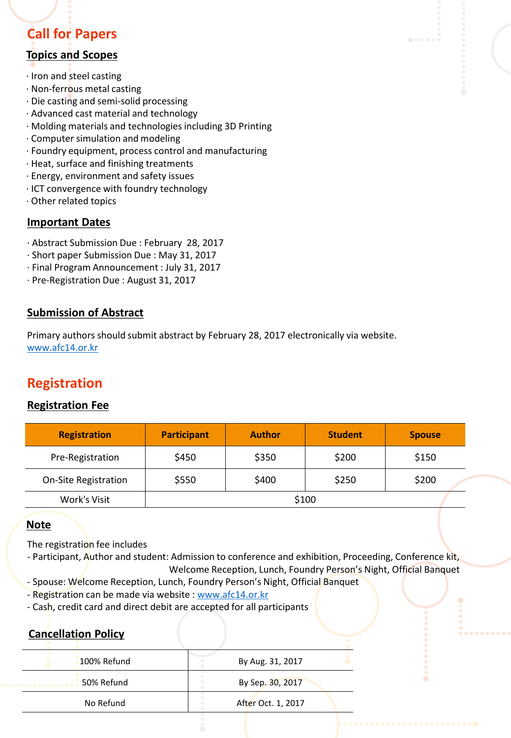# **Call for Papers**

# **Topics and Scopes**

- ∙ Iron and steel casting
- ∙ Non-ferrous metal casting
- ∙ Die casting and semi-solid processing
- ∙ Advanced cast material and technology
- ∙ Molding materials and technologies including 3D Printing
- ∙ Computer simulation and modeling
- ∙ Foundry equipment, process control and manufacturing
- ∙ Heat, surface and finishing treatments
- ∙ Energy, environment and safety issues
- ∙ ICT convergence with foundry technology
- ∙ Other related topics

# **Important Dates**

- ∙ Abstract Submission Due : February 28, 2017
- ∙ Short paper Submission Due : May 31, 2017
- ∙ Final Program Announcement : July 31, 2017
- ∙ Pre-Registration Due : August 31, 2017

### **Submission of Abstract**

Primary authors should submit abstract by February 28, 2017 electronically via website. [www.afc14.or.kr](http://www.afc14.or.kr/)

# **Registration**

### **Registration Fee**

| <b>Registration</b>         | <b>Participant</b> | <b>Author</b> | <b>Student</b> | <b>Spouse</b> |  |  |
|-----------------------------|--------------------|---------------|----------------|---------------|--|--|
| Pre-Registration            | \$450              | \$350         | \$200          | \$150         |  |  |
| <b>On-Site Registration</b> | \$550              | \$400         | \$250          | \$200         |  |  |
| Work's Visit                | \$100              |               |                |               |  |  |

### **Note**

The registration fee includes

- Participant, Author and student: Admission to conference and exhibition, Proceeding, Conference kit, Welcome Reception, Lunch, Foundry Person's Night, Official Banquet
- Spouse: Welcome Reception, Lunch, Foundry Person's Night, Official Banquet
- Registration can be made via website : [www.afc14.or.kr](http://www.afc14.or.kr/)
- Cash, credit card and direct debit are accepted for all participants

# **Cancellation Policy**

| 100% Refund | By Aug. 31, 2017   |
|-------------|--------------------|
| 50% Refund  | By Sep. 30, 2017   |
| No Refund   | After Oct. 1, 2017 |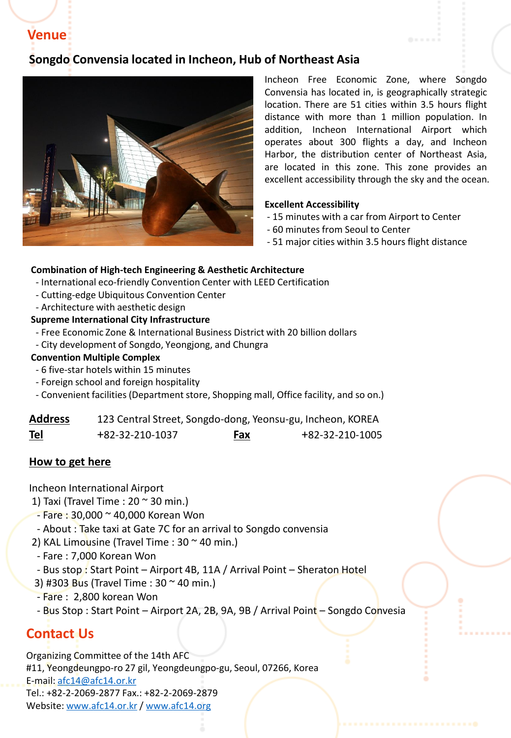**Venue**

# **Songdo Convensia located in Incheon, Hub of Northeast Asia**



Incheon Free Economic Zone, where Songdo Convensia has located in, is geographically strategic location. There are 51 cities within 3.5 hours flight distance with more than 1 million population. In addition, Incheon International Airport which operates about 300 flights a day, and Incheon Harbor, the distribution center of Northeast Asia, are located in this zone. This zone provides an excellent accessibility through the sky and the ocean.

#### **Excellent Accessibility**

- 15 minutes with a car from Airport to Center
- 60 minutes from Seoul to Center
- 51 major cities within 3.5 hours flight distance

#### **Combination of High-tech Engineering & Aesthetic Architecture**

- International eco-friendly Convention Center with LEED Certification
- Cutting-edge Ubiquitous Convention Center
- Architecture with aesthetic design

#### **Supreme International City Infrastructure**

- Free Economic Zone & International Business District with 20 billion dollars
- City development of Songdo, Yeongjong, and Chungra

#### **Convention Multiple Complex**

- 6 five-star hotels within 15 minutes
- Foreign school and foreign hospitality
- Convenient facilities (Department store, Shopping mall, Office facility, and so on.)

| <b>Address</b> | 123 Central Street, Songdo-dong, Yeonsu-gu, Incheon, KOREA |     |                 |
|----------------|------------------------------------------------------------|-----|-----------------|
| <b>Tel</b>     | +82-32-210-1037                                            | Fax | +82-32-210-1005 |

#### **How to get here**

Incheon International Airport

- 1) Taxi (Travel Time :  $20 \approx 30$  min.)
- Fare : 30,000 ~ 40,000 Korean Won
- About : Take taxi at Gate 7C for an arrival to Songdo convensia
- 2) KAL Limousine (Travel Time :  $30 \approx 40$  min.)
- Fare : 7,000 Korean Won
- Bus stop : Start Point Airport 4B, 11A / Arrival Point Sheraton Hotel
- 3) #303 Bus (Travel Time : 30 ~ 40 min.)
- Fare : 2,800 korean Won
- Bus Stop : Start Point Airport 2A, 2B, 9A, 9B / Arrival Point Songdo Convesia

# **Contact Us**

Organizing Committee of the 14th AFC #11, Yeongdeungpo-ro 27 gil, Yeongdeungpo-gu, Seoul, 07266, Korea E-mail: [afc14@afc14.or.kr](mailto:afc14@afc14.or.kr) Tel.: +82-2-2069-2877 Fax.: +82-2-2069-2879 Website: [www.afc14.or.kr](http://www.afc14.or.kr/) / [www.afc14.org](www.afc14.or.kr)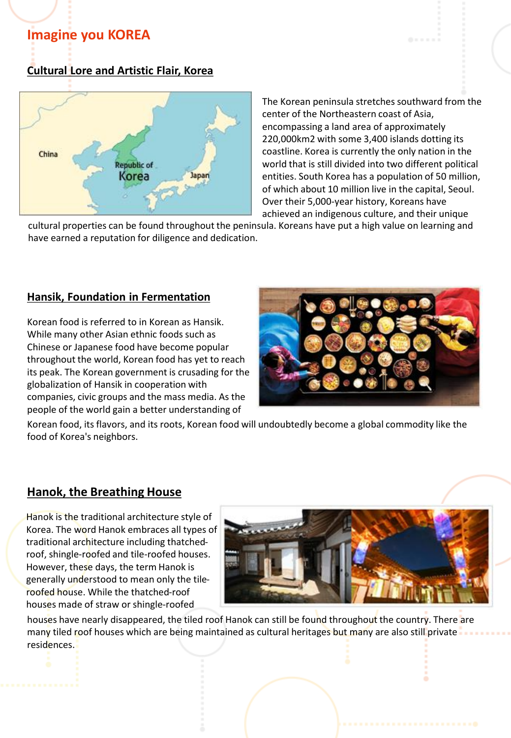# **Imagine you KOREA**

# **Cultural Lore and Artistic Flair, Korea**



The Korean peninsula stretches southward from the center of the Northeastern coast of Asia, encompassing a land area of approximately 220,000km2 with some 3,400 islands dotting its coastline. Korea is currently the only nation in the world that is still divided into two different political entities. South Korea has a population of 50 million, of which about 10 million live in the capital, Seoul. Over their 5,000-year history, Koreans have achieved an indigenous culture, and their unique

cultural properties can be found throughout the peninsula. Koreans have put a high value on learning and have earned a reputation for diligence and dedication.

### **Hansik, Foundation in Fermentation**

Korean food is referred to in Korean as Hansik. While many other Asian ethnic foods such as Chinese or Japanese food have become popular throughout the world, Korean food has yet to reach its peak. The Korean government is crusading for the globalization of Hansik in cooperation with companies, civic groups and the mass media. As the people of the world gain a better understanding of



Korean food, its flavors, and its roots, Korean food will undoubtedly become a global commodity like the food of Korea's neighbors.

# **Hanok, the Breathing House**

Hanok is the traditional architecture style of Korea. The word Hanok embraces all types of traditional architecture including thatchedroof, shingle-roofed and tile-roofed houses. However, these days, the term Hanok is generally understood to mean only the tileroofed house. While the thatched-roof houses made of straw or shingle-roofed



houses have nearly disappeared, the tiled roof Hanok can still be found throughout the country. There are many tiled roof houses which are being maintained as cultural heritages but many are also still private residences.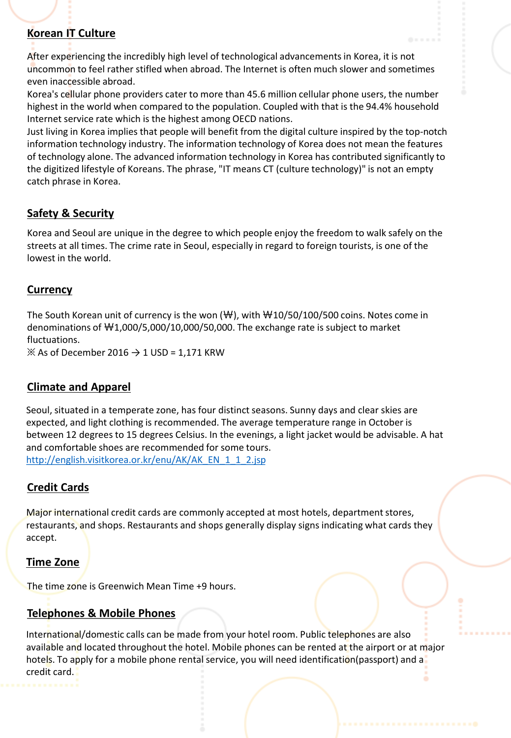# **Korean IT Culture**

After experiencing the incredibly high level of technological advancements in Korea, it is not uncommon to feel rather stifled when abroad. The Internet is often much slower and sometimes even inaccessible abroad.

Korea's cellular phone providers cater to more than 45.6 million cellular phone users, the number highest in the world when compared to the population. Coupled with that is the 94.4% household Internet service rate which is the highest among OECD nations.

Just living in Korea implies that people will benefit from the digital culture inspired by the top-notch information technology industry. The information technology of Korea does not mean the features of technology alone. The advanced information technology in Korea has contributed significantly to the digitized lifestyle of Koreans. The phrase, "IT means CT (culture technology)" is not an empty catch phrase in Korea.

# **Safety & Security**

Korea and Seoul are unique in the degree to which people enjoy the freedom to walk safely on the streets at all times. The crime rate in Seoul, especially in regard to foreign tourists, is one of the lowest in the world.

### **Currency**

The South Korean unit of currency is the won  $(\mathcal{W})$ , with  $\mathcal{W}10/50/100/500$  coins. Notes come in denominations of ₩1,000/5,000/10,000/50,000. The exchange rate is subject to market fluctuations.

 $\%$  As of December 2016  $\rightarrow$  1 USD = 1,171 KRW

# **Climate and Apparel**

Seoul, situated in a temperate zone, has four distinct seasons. Sunny days and clear skies are expected, and light clothing is recommended. The average temperature range in October is between 12 degrees to 15 degrees Celsius. In the evenings, a light jacket would be advisable. A hat and comfortable shoes are recommended for some tours. [http://english.visitkorea.or.kr/enu/AK/AK\\_EN\\_1\\_1\\_2.jsp](http://english.visitkorea.or.kr/enu/AK/AK_EN_1_1_2.jsp)

# **Credit Cards**

Major international credit cards are commonly accepted at most hotels, department stores, restaurants, and shops. Restaurants and shops generally display signs indicating what cards they accept.

### **Time Zone**

The time zone is Greenwich Mean Time +9 hours.

# **Telephones & Mobile Phones**

International/domestic calls can be made from your hotel room. Public telephones are also available and located throughout the hotel. Mobile phones can be rented at the airport or at major hotels. To apply for a mobile phone rental service, you will need identification(passport) and a credit card.